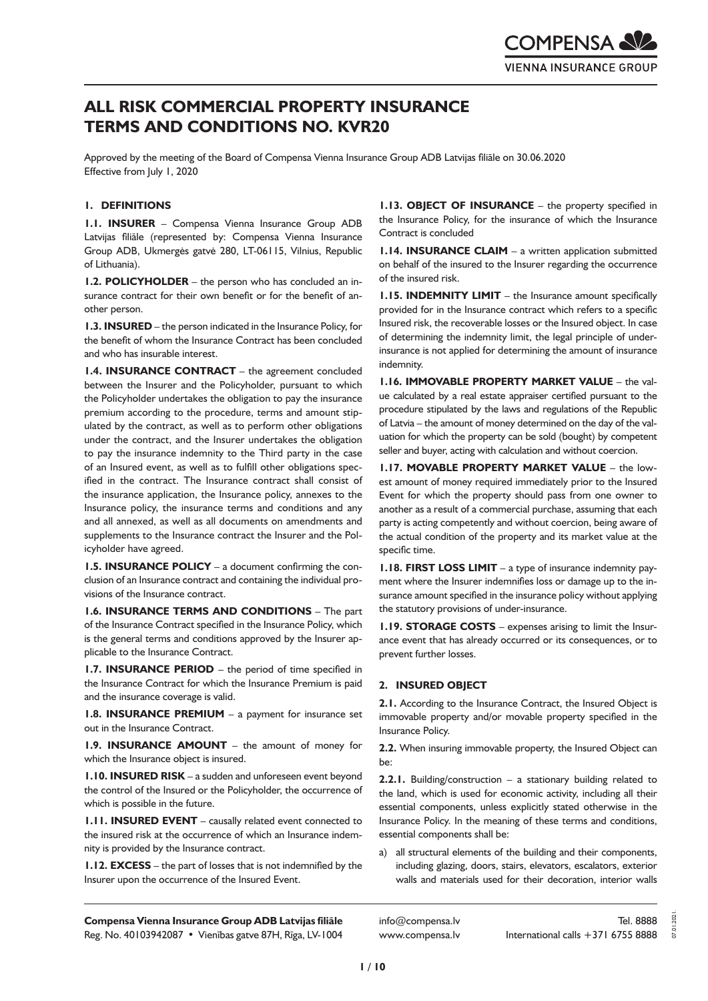# **ALL RISK COMMERCIAL PROPERTY INSURANCE TERMS AND CONDITIONS NO. KVR20**

Approved by the meeting of the Board of Compensa Vienna Insurance Group ADB Latvijas filiāle on 30.06.2020 Effective from July 1, 2020

# **1. DEFINITIONS**

**1.1. INSURER** – Compensa Vienna Insurance Group ADB Latvijas filiāle (represented by: Compensa Vienna Insurance Group ADB, Ukmergės gatvė 280, LT-06115, Vilnius, Republic of Lithuania).

**1.2. POLICYHOLDER** – the person who has concluded an insurance contract for their own benefit or for the benefit of another person.

**1.3. INSURED** – the person indicated in the Insurance Policy, for the benefit of whom the Insurance Contract has been concluded and who has insurable interest.

**1.4. INSURANCE CONTRACT** – the agreement concluded between the Insurer and the Policyholder, pursuant to which the Policyholder undertakes the obligation to pay the insurance premium according to the procedure, terms and amount stipulated by the contract, as well as to perform other obligations under the contract, and the Insurer undertakes the obligation to pay the insurance indemnity to the Third party in the case of an Insured event, as well as to fulfill other obligations specified in the contract. The Insurance contract shall consist of the insurance application, the Insurance policy, annexes to the Insurance policy, the insurance terms and conditions and any and all annexed, as well as all documents on amendments and supplements to the Insurance contract the Insurer and the Policyholder have agreed.

**1.5. INSURANCE POLICY** – a document confirming the conclusion of an Insurance contract and containing the individual provisions of the Insurance contract.

**1.6. INSURANCE TERMS AND CONDITIONS** – The part of the Insurance Contract specified in the Insurance Policy, which is the general terms and conditions approved by the Insurer applicable to the Insurance Contract.

**1.7. INSURANCE PERIOD** – the period of time specified in the Insurance Contract for which the Insurance Premium is paid and the insurance coverage is valid.

**1.8. INSURANCE PREMIUM** – a payment for insurance set out in the Insurance Contract.

**1.9. INSURANCE AMOUNT** – the amount of money for which the Insurance object is insured.

**1.10. INSURED RISK** – a sudden and unforeseen event beyond the control of the Insured or the Policyholder, the occurrence of which is possible in the future.

**1.11. INSURED EVENT** – causally related event connected to the insured risk at the occurrence of which an Insurance indemnity is provided by the Insurance contract.

**1.12. EXCESS** – the part of losses that is not indemnified by the Insurer upon the occurrence of the Insured Event.

**1.13. OBJECT OF INSURANCE** – the property specified in the Insurance Policy, for the insurance of which the Insurance Contract is concluded

**1.14. INSURANCE CLAIM** – a written application submitted on behalf of the insured to the Insurer regarding the occurrence of the insured risk.

**1.15. INDEMNITY LIMIT** – the Insurance amount specifically provided for in the Insurance contract which refers to a specific Insured risk, the recoverable losses or the Insured object. In case of determining the indemnity limit, the legal principle of underinsurance is not applied for determining the amount of insurance indemnity.

**1.16. IMMOVABLE PROPERTY MARKET VALUE** – the value calculated by a real estate appraiser certified pursuant to the procedure stipulated by the laws and regulations of the Republic of Latvia – the amount of money determined on the day of the valuation for which the property can be sold (bought) by competent seller and buyer, acting with calculation and without coercion.

**1.17. MOVABLE PROPERTY MARKET VALUE** – the lowest amount of money required immediately prior to the Insured Event for which the property should pass from one owner to another as a result of a commercial purchase, assuming that each party is acting competently and without coercion, being aware of the actual condition of the property and its market value at the specific time.

**1.18. FIRST LOSS LIMIT** – a type of insurance indemnity payment where the Insurer indemnifies loss or damage up to the insurance amount specified in the insurance policy without applying the statutory provisions of under-insurance.

**1.19. STORAGE COSTS** – expenses arising to limit the Insurance event that has already occurred or its consequences, or to prevent further losses.

# **2. INSURED OBJECT**

**2.1.** According to the Insurance Contract, the Insured Object is immovable property and/or movable property specified in the Insurance Policy.

**2.2.** When insuring immovable property, the Insured Object can be:

**2.2.1.** Building/construction – a stationary building related to the land, which is used for economic activity, including all their essential components, unless explicitly stated otherwise in the Insurance Policy. In the meaning of these terms and conditions, essential components shall be:

a) all structural elements of the building and their components, including glazing, doors, stairs, elevators, escalators, exterior walls and materials used for their decoration, interior walls

**Compensa Vienna Insurance Group ADB Latvijas filiāle**  Reg. No. 40103942087 • Vienības gatve 87H, Rīga, LV-1004

info@compensa.lv www.compensa.lv 07.01.2021.

2021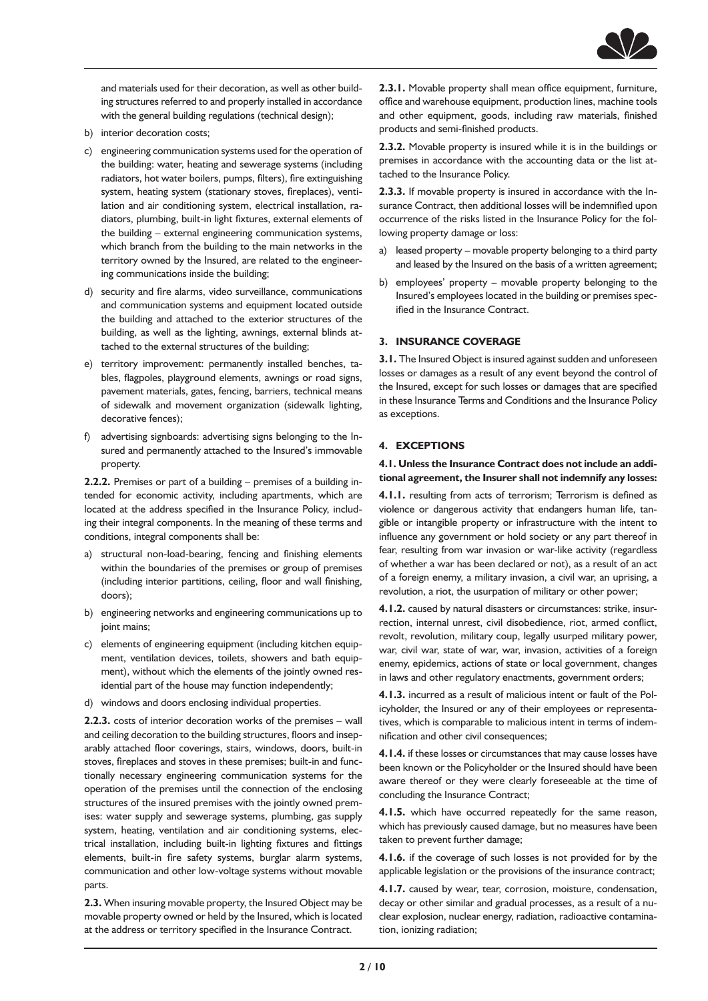

and materials used for their decoration, as well as other building structures referred to and properly installed in accordance with the general building regulations (technical design);

- b) interior decoration costs;
- c) engineering communication systems used for the operation of the building: water, heating and sewerage systems (including radiators, hot water boilers, pumps, filters), fire extinguishing system, heating system (stationary stoves, fireplaces), ventilation and air conditioning system, electrical installation, radiators, plumbing, built-in light fixtures, external elements of the building – external engineering communication systems, which branch from the building to the main networks in the territory owned by the Insured, are related to the engineering communications inside the building;
- d) security and fire alarms, video surveillance, communications and communication systems and equipment located outside the building and attached to the exterior structures of the building, as well as the lighting, awnings, external blinds attached to the external structures of the building;
- e) territory improvement: permanently installed benches, tables, flagpoles, playground elements, awnings or road signs, pavement materials, gates, fencing, barriers, technical means of sidewalk and movement organization (sidewalk lighting, decorative fences);
- f) advertising signboards: advertising signs belonging to the Insured and permanently attached to the Insured's immovable property.

**2.2.2.** Premises or part of a building – premises of a building intended for economic activity, including apartments, which are located at the address specified in the Insurance Policy, including their integral components. In the meaning of these terms and conditions, integral components shall be:

- a) structural non-load-bearing, fencing and finishing elements within the boundaries of the premises or group of premises (including interior partitions, ceiling, floor and wall finishing, doors);
- b) engineering networks and engineering communications up to joint mains;
- c) elements of engineering equipment (including kitchen equipment, ventilation devices, toilets, showers and bath equipment), without which the elements of the jointly owned residential part of the house may function independently;
- d) windows and doors enclosing individual properties.

**2.2.3.** costs of interior decoration works of the premises – wall and ceiling decoration to the building structures, floors and inseparably attached floor coverings, stairs, windows, doors, built-in stoves, fireplaces and stoves in these premises; built-in and functionally necessary engineering communication systems for the operation of the premises until the connection of the enclosing structures of the insured premises with the jointly owned premises: water supply and sewerage systems, plumbing, gas supply system, heating, ventilation and air conditioning systems, electrical installation, including built-in lighting fixtures and fittings elements, built-in fire safety systems, burglar alarm systems, communication and other low-voltage systems without movable parts.

**2.3.** When insuring movable property, the Insured Object may be movable property owned or held by the Insured, which is located at the address or territory specified in the Insurance Contract.

**2.3.1.** Movable property shall mean office equipment, furniture, office and warehouse equipment, production lines, machine tools and other equipment, goods, including raw materials, finished products and semi-finished products.

**2.3.2.** Movable property is insured while it is in the buildings or premises in accordance with the accounting data or the list attached to the Insurance Policy.

**2.3.3.** If movable property is insured in accordance with the Insurance Contract, then additional losses will be indemnified upon occurrence of the risks listed in the Insurance Policy for the following property damage or loss:

- a) leased property movable property belonging to a third party and leased by the Insured on the basis of a written agreement;
- b) employees' property movable property belonging to the Insured's employees located in the building or premises specified in the Insurance Contract.

#### **3. INSURANCE COVERAGE**

**3.1.** The Insured Object is insured against sudden and unforeseen losses or damages as a result of any event beyond the control of the Insured, except for such losses or damages that are specified in these Insurance Terms and Conditions and the Insurance Policy as exceptions.

#### **4. EXCEPTIONS**

# **4.1. Unless the Insurance Contract does not include an additional agreement, the Insurer shall not indemnify any losses:**

**4.1.1.** resulting from acts of terrorism; Terrorism is defined as violence or dangerous activity that endangers human life, tangible or intangible property or infrastructure with the intent to influence any government or hold society or any part thereof in fear, resulting from war invasion or war-like activity (regardless of whether a war has been declared or not), as a result of an act of a foreign enemy, a military invasion, a civil war, an uprising, a revolution, a riot, the usurpation of military or other power;

**4.1.2.** caused by natural disasters or circumstances: strike, insurrection, internal unrest, civil disobedience, riot, armed conflict, revolt, revolution, military coup, legally usurped military power, war, civil war, state of war, war, invasion, activities of a foreign enemy, epidemics, actions of state or local government, changes in laws and other regulatory enactments, government orders;

**4.1.3.** incurred as a result of malicious intent or fault of the Policyholder, the Insured or any of their employees or representatives, which is comparable to malicious intent in terms of indemnification and other civil consequences;

**4.1.4.** if these losses or circumstances that may cause losses have been known or the Policyholder or the Insured should have been aware thereof or they were clearly foreseeable at the time of concluding the Insurance Contract;

**4.1.5.** which have occurred repeatedly for the same reason, which has previously caused damage, but no measures have been taken to prevent further damage;

**4.1.6.** if the coverage of such losses is not provided for by the applicable legislation or the provisions of the insurance contract;

**4.1.7.** caused by wear, tear, corrosion, moisture, condensation, decay or other similar and gradual processes, as a result of a nuclear explosion, nuclear energy, radiation, radioactive contamination, ionizing radiation;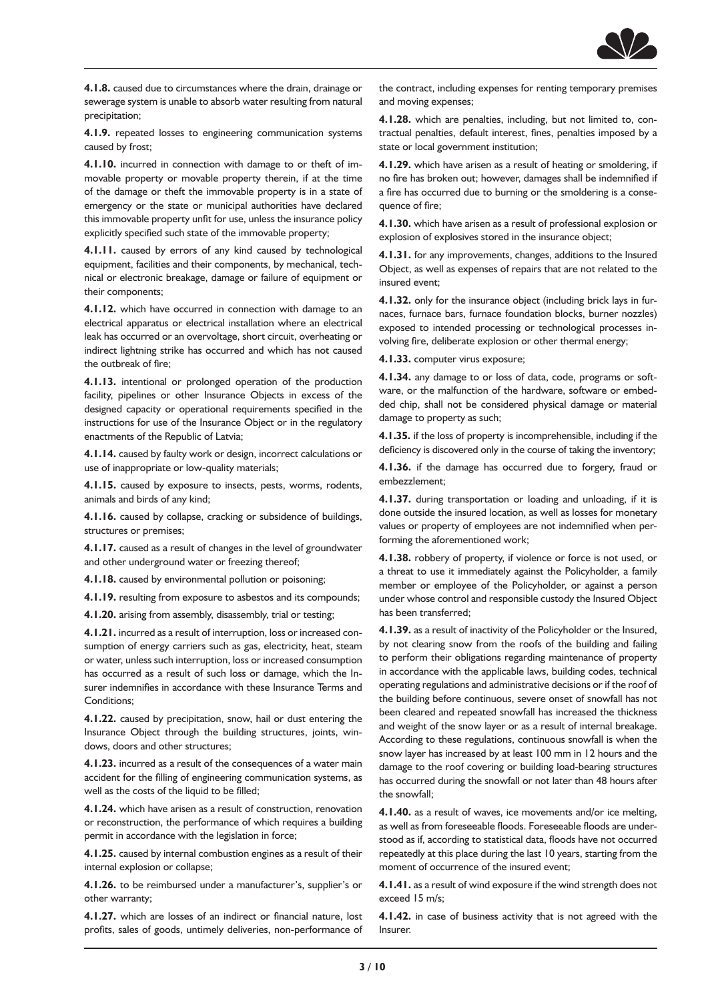

**4.1.8.** caused due to circumstances where the drain, drainage or sewerage system is unable to absorb water resulting from natural precipitation;

**4.1.9.** repeated losses to engineering communication systems caused by frost;

**4.1.10.** incurred in connection with damage to or theft of immovable property or movable property therein, if at the time of the damage or theft the immovable property is in a state of emergency or the state or municipal authorities have declared this immovable property unfit for use, unless the insurance policy explicitly specified such state of the immovable property;

**4.1.11.** caused by errors of any kind caused by technological equipment, facilities and their components, by mechanical, technical or electronic breakage, damage or failure of equipment or their components;

**4.1.12.** which have occurred in connection with damage to an electrical apparatus or electrical installation where an electrical leak has occurred or an overvoltage, short circuit, overheating or indirect lightning strike has occurred and which has not caused the outbreak of fire;

**4.1.13.** intentional or prolonged operation of the production facility, pipelines or other Insurance Objects in excess of the designed capacity or operational requirements specified in the instructions for use of the Insurance Object or in the regulatory enactments of the Republic of Latvia;

**4.1.14.** caused by faulty work or design, incorrect calculations or use of inappropriate or low-quality materials;

**4.1.15.** caused by exposure to insects, pests, worms, rodents, animals and birds of any kind;

**4.1.16.** caused by collapse, cracking or subsidence of buildings, structures or premises;

**4.1.17.** caused as a result of changes in the level of groundwater and other underground water or freezing thereof;

**4.1.18.** caused by environmental pollution or poisoning;

**4.1.19.** resulting from exposure to asbestos and its compounds;

**4.1.20.** arising from assembly, disassembly, trial or testing;

**4.1.21.** incurred as a result of interruption, loss or increased consumption of energy carriers such as gas, electricity, heat, steam or water, unless such interruption, loss or increased consumption has occurred as a result of such loss or damage, which the Insurer indemnifies in accordance with these Insurance Terms and Conditions;

**4.1.22.** caused by precipitation, snow, hail or dust entering the Insurance Object through the building structures, joints, windows, doors and other structures;

**4.1.23.** incurred as a result of the consequences of a water main accident for the filling of engineering communication systems, as well as the costs of the liquid to be filled:

**4.1.24.** which have arisen as a result of construction, renovation or reconstruction, the performance of which requires a building permit in accordance with the legislation in force;

**4.1.25.** caused by internal combustion engines as a result of their internal explosion or collapse;

**4.1.26.** to be reimbursed under a manufacturer's, supplier's or other warranty;

**4.1.27.** which are losses of an indirect or financial nature, lost profits, sales of goods, untimely deliveries, non-performance of the contract, including expenses for renting temporary premises and moving expenses;

**4.1.28.** which are penalties, including, but not limited to, contractual penalties, default interest, fines, penalties imposed by a state or local government institution;

**4.1.29.** which have arisen as a result of heating or smoldering, if no fire has broken out; however, damages shall be indemnified if a fire has occurred due to burning or the smoldering is a consequence of fire;

**4.1.30.** which have arisen as a result of professional explosion or explosion of explosives stored in the insurance object;

**4.1.31.** for any improvements, changes, additions to the Insured Object, as well as expenses of repairs that are not related to the insured event;

**4.1.32.** only for the insurance object (including brick lays in furnaces, furnace bars, furnace foundation blocks, burner nozzles) exposed to intended processing or technological processes involving fire, deliberate explosion or other thermal energy;

**4.1.33.** computer virus exposure;

**4.1.34.** any damage to or loss of data, code, programs or software, or the malfunction of the hardware, software or embedded chip, shall not be considered physical damage or material damage to property as such;

**4.1.35.** if the loss of property is incomprehensible, including if the deficiency is discovered only in the course of taking the inventory;

**4.1.36.** if the damage has occurred due to forgery, fraud or embezzlement;

**4.1.37.** during transportation or loading and unloading, if it is done outside the insured location, as well as losses for monetary values or property of employees are not indemnified when performing the aforementioned work;

**4.1.38.** robbery of property, if violence or force is not used, or a threat to use it immediately against the Policyholder, a family member or employee of the Policyholder, or against a person under whose control and responsible custody the Insured Object has been transferred;

**4.1.39.** as a result of inactivity of the Policyholder or the Insured, by not clearing snow from the roofs of the building and failing to perform their obligations regarding maintenance of property in accordance with the applicable laws, building codes, technical operating regulations and administrative decisions or if the roof of the building before continuous, severe onset of snowfall has not been cleared and repeated snowfall has increased the thickness and weight of the snow layer or as a result of internal breakage. According to these regulations, continuous snowfall is when the snow layer has increased by at least 100 mm in 12 hours and the damage to the roof covering or building load-bearing structures has occurred during the snowfall or not later than 48 hours after the snowfall;

**4.1.40.** as a result of waves, ice movements and/or ice melting, as well as from foreseeable floods. Foreseeable floods are understood as if, according to statistical data, floods have not occurred repeatedly at this place during the last 10 years, starting from the moment of occurrence of the insured event;

**4.1.41.** as a result of wind exposure if the wind strength does not exceed 15 m/s;

**4.1.42.** in case of business activity that is not agreed with the Insurer.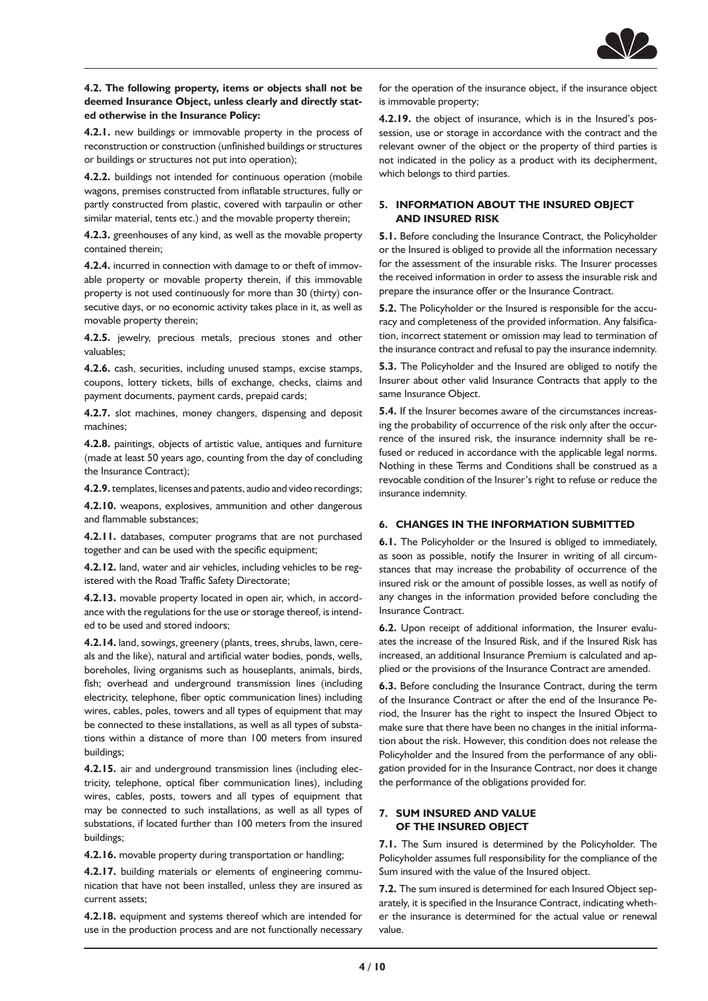

**4.2. The following property, items or objects shall not be deemed Insurance Object, unless clearly and directly stated otherwise in the Insurance Policy:**

**4.2.1.** new buildings or immovable property in the process of reconstruction or construction (unfinished buildings or structures or buildings or structures not put into operation);

**4.2.2.** buildings not intended for continuous operation (mobile wagons, premises constructed from inflatable structures, fully or partly constructed from plastic, covered with tarpaulin or other similar material, tents etc.) and the movable property therein;

**4.2.3.** greenhouses of any kind, as well as the movable property contained therein;

**4.2.4.** incurred in connection with damage to or theft of immovable property or movable property therein, if this immovable property is not used continuously for more than 30 (thirty) consecutive days, or no economic activity takes place in it, as well as movable property therein;

**4.2.5.** jewelry, precious metals, precious stones and other valuables;

**4.2.6.** cash, securities, including unused stamps, excise stamps, coupons, lottery tickets, bills of exchange, checks, claims and payment documents, payment cards, prepaid cards;

**4.2.7.** slot machines, money changers, dispensing and deposit machines;

**4.2.8.** paintings, objects of artistic value, antiques and furniture (made at least 50 years ago, counting from the day of concluding the Insurance Contract);

**4.2.9.** templates, licenses and patents, audio and video recordings;

**4.2.10.** weapons, explosives, ammunition and other dangerous and flammable substances;

**4.2.11.** databases, computer programs that are not purchased together and can be used with the specific equipment;

**4.2.12.** land, water and air vehicles, including vehicles to be registered with the Road Traffic Safety Directorate;

**4.2.13.** movable property located in open air, which, in accordance with the regulations for the use or storage thereof, is intended to be used and stored indoors;

**4.2.14.** land, sowings, greenery (plants, trees, shrubs, lawn, cereals and the like), natural and artificial water bodies, ponds, wells, boreholes, living organisms such as houseplants, animals, birds, fish; overhead and underground transmission lines (including electricity, telephone, fiber optic communication lines) including wires, cables, poles, towers and all types of equipment that may be connected to these installations, as well as all types of substations within a distance of more than 100 meters from insured buildings;

**4.2.15.** air and underground transmission lines (including electricity, telephone, optical fiber communication lines), including wires, cables, posts, towers and all types of equipment that may be connected to such installations, as well as all types of substations, if located further than 100 meters from the insured buildings;

**4.2.16.** movable property during transportation or handling;

**4.2.17.** building materials or elements of engineering communication that have not been installed, unless they are insured as current assets;

**4.2.18.** equipment and systems thereof which are intended for use in the production process and are not functionally necessary for the operation of the insurance object, if the insurance object is immovable property;

**4.2.19.** the object of insurance, which is in the Insured's possession, use or storage in accordance with the contract and the relevant owner of the object or the property of third parties is not indicated in the policy as a product with its decipherment, which belongs to third parties.

# **5. INFORMATION ABOUT THE INSURED OBJECT AND INSURED RISK**

**5.1.** Before concluding the Insurance Contract, the Policyholder or the Insured is obliged to provide all the information necessary for the assessment of the insurable risks. The Insurer processes the received information in order to assess the insurable risk and prepare the insurance offer or the Insurance Contract.

**5.2.** The Policyholder or the Insured is responsible for the accuracy and completeness of the provided information. Any falsification, incorrect statement or omission may lead to termination of the insurance contract and refusal to pay the insurance indemnity.

**5.3.** The Policyholder and the Insured are obliged to notify the Insurer about other valid Insurance Contracts that apply to the same Insurance Object.

**5.4.** If the Insurer becomes aware of the circumstances increasing the probability of occurrence of the risk only after the occurrence of the insured risk, the insurance indemnity shall be refused or reduced in accordance with the applicable legal norms. Nothing in these Terms and Conditions shall be construed as a revocable condition of the Insurer's right to refuse or reduce the insurance indemnity.

# **6. CHANGES IN THE INFORMATION SUBMITTED**

**6.1.** The Policyholder or the Insured is obliged to immediately, as soon as possible, notify the Insurer in writing of all circumstances that may increase the probability of occurrence of the insured risk or the amount of possible losses, as well as notify of any changes in the information provided before concluding the Insurance Contract.

**6.2.** Upon receipt of additional information, the Insurer evaluates the increase of the Insured Risk, and if the Insured Risk has increased, an additional Insurance Premium is calculated and applied or the provisions of the Insurance Contract are amended.

**6.3.** Before concluding the Insurance Contract, during the term of the Insurance Contract or after the end of the Insurance Period, the Insurer has the right to inspect the Insured Object to make sure that there have been no changes in the initial information about the risk. However, this condition does not release the Policyholder and the Insured from the performance of any obligation provided for in the Insurance Contract, nor does it change the performance of the obligations provided for.

# **7. SUM INSURED AND VALUE OF THE INSURED OBJECT**

**7.1.** The Sum insured is determined by the Policyholder. The Policyholder assumes full responsibility for the compliance of the Sum insured with the value of the Insured object.

**7.2.** The sum insured is determined for each Insured Object separately, it is specified in the Insurance Contract, indicating whether the insurance is determined for the actual value or renewal value.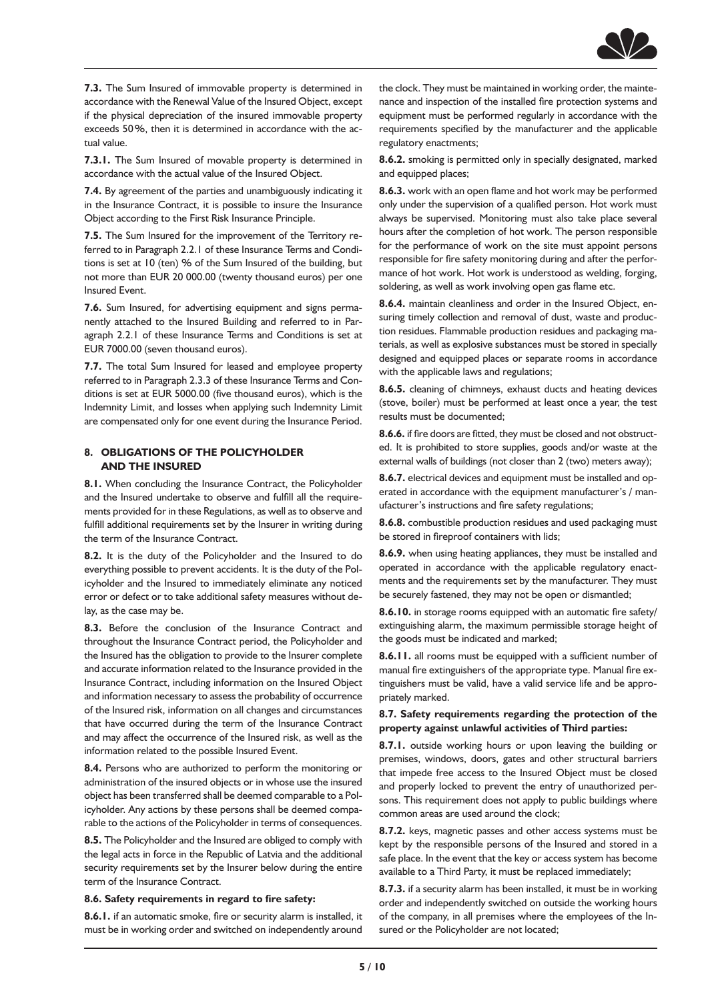

**7.3.** The Sum Insured of immovable property is determined in accordance with the Renewal Value of the Insured Object, except if the physical depreciation of the insured immovable property exceeds 50%, then it is determined in accordance with the actual value.

**7.3.1.** The Sum Insured of movable property is determined in accordance with the actual value of the Insured Object.

**7.4.** By agreement of the parties and unambiguously indicating it in the Insurance Contract, it is possible to insure the Insurance Object according to the First Risk Insurance Principle.

**7.5.** The Sum Insured for the improvement of the Territory referred to in Paragraph 2.2.1 of these Insurance Terms and Conditions is set at 10 (ten) % of the Sum Insured of the building, but not more than EUR 20 000.00 (twenty thousand euros) per one Insured Event.

**7.6.** Sum Insured, for advertising equipment and signs permanently attached to the Insured Building and referred to in Paragraph 2.2.1 of these Insurance Terms and Conditions is set at EUR 7000.00 (seven thousand euros).

**7.7.** The total Sum Insured for leased and employee property referred to in Paragraph 2.3.3 of these Insurance Terms and Conditions is set at EUR 5000.00 (five thousand euros), which is the Indemnity Limit, and losses when applying such Indemnity Limit are compensated only for one event during the Insurance Period.

# **8. OBLIGATIONS OF THE POLICYHOLDER AND THE INSURED**

**8.1.** When concluding the Insurance Contract, the Policyholder and the Insured undertake to observe and fulfill all the requirements provided for in these Regulations, as well as to observe and fulfill additional requirements set by the Insurer in writing during the term of the Insurance Contract.

**8.2.** It is the duty of the Policyholder and the Insured to do everything possible to prevent accidents. It is the duty of the Policyholder and the Insured to immediately eliminate any noticed error or defect or to take additional safety measures without delay, as the case may be.

**8.3.** Before the conclusion of the Insurance Contract and throughout the Insurance Contract period, the Policyholder and the Insured has the obligation to provide to the Insurer complete and accurate information related to the Insurance provided in the Insurance Contract, including information on the Insured Object and information necessary to assess the probability of occurrence of the Insured risk, information on all changes and circumstances that have occurred during the term of the Insurance Contract and may affect the occurrence of the Insured risk, as well as the information related to the possible Insured Event.

**8.4.** Persons who are authorized to perform the monitoring or administration of the insured objects or in whose use the insured object has been transferred shall be deemed comparable to a Policyholder. Any actions by these persons shall be deemed comparable to the actions of the Policyholder in terms of consequences.

**8.5.** The Policyholder and the Insured are obliged to comply with the legal acts in force in the Republic of Latvia and the additional security requirements set by the Insurer below during the entire term of the Insurance Contract.

#### **8.6. Safety requirements in regard to fire safety:**

**8.6.1.** if an automatic smoke, fire or security alarm is installed, it must be in working order and switched on independently around the clock. They must be maintained in working order, the maintenance and inspection of the installed fire protection systems and equipment must be performed regularly in accordance with the requirements specified by the manufacturer and the applicable regulatory enactments;

**8.6.2.** smoking is permitted only in specially designated, marked and equipped places;

**8.6.3.** work with an open flame and hot work may be performed only under the supervision of a qualified person. Hot work must always be supervised. Monitoring must also take place several hours after the completion of hot work. The person responsible for the performance of work on the site must appoint persons responsible for fire safety monitoring during and after the performance of hot work. Hot work is understood as welding, forging, soldering, as well as work involving open gas flame etc.

**8.6.4.** maintain cleanliness and order in the Insured Object, ensuring timely collection and removal of dust, waste and production residues. Flammable production residues and packaging materials, as well as explosive substances must be stored in specially designed and equipped places or separate rooms in accordance with the applicable laws and regulations;

**8.6.5.** cleaning of chimneys, exhaust ducts and heating devices (stove, boiler) must be performed at least once a year, the test results must be documented;

**8.6.6.** if fire doors are fitted, they must be closed and not obstructed. It is prohibited to store supplies, goods and/or waste at the external walls of buildings (not closer than 2 (two) meters away);

**8.6.7.** electrical devices and equipment must be installed and operated in accordance with the equipment manufacturer's / manufacturer's instructions and fire safety regulations;

**8.6.8.** combustible production residues and used packaging must be stored in fireproof containers with lids;

**8.6.9.** when using heating appliances, they must be installed and operated in accordance with the applicable regulatory enactments and the requirements set by the manufacturer. They must be securely fastened, they may not be open or dismantled;

**8.6.10.** in storage rooms equipped with an automatic fire safety/ extinguishing alarm, the maximum permissible storage height of the goods must be indicated and marked;

**8.6.11.** all rooms must be equipped with a sufficient number of manual fire extinguishers of the appropriate type. Manual fire extinguishers must be valid, have a valid service life and be appropriately marked.

#### **8.7. Safety requirements regarding the protection of the property against unlawful activities of Third parties:**

**8.7.1.** outside working hours or upon leaving the building or premises, windows, doors, gates and other structural barriers that impede free access to the Insured Object must be closed and properly locked to prevent the entry of unauthorized persons. This requirement does not apply to public buildings where common areas are used around the clock;

**8.7.2.** keys, magnetic passes and other access systems must be kept by the responsible persons of the Insured and stored in a safe place. In the event that the key or access system has become available to a Third Party, it must be replaced immediately;

**8.7.3.** if a security alarm has been installed, it must be in working order and independently switched on outside the working hours of the company, in all premises where the employees of the Insured or the Policyholder are not located;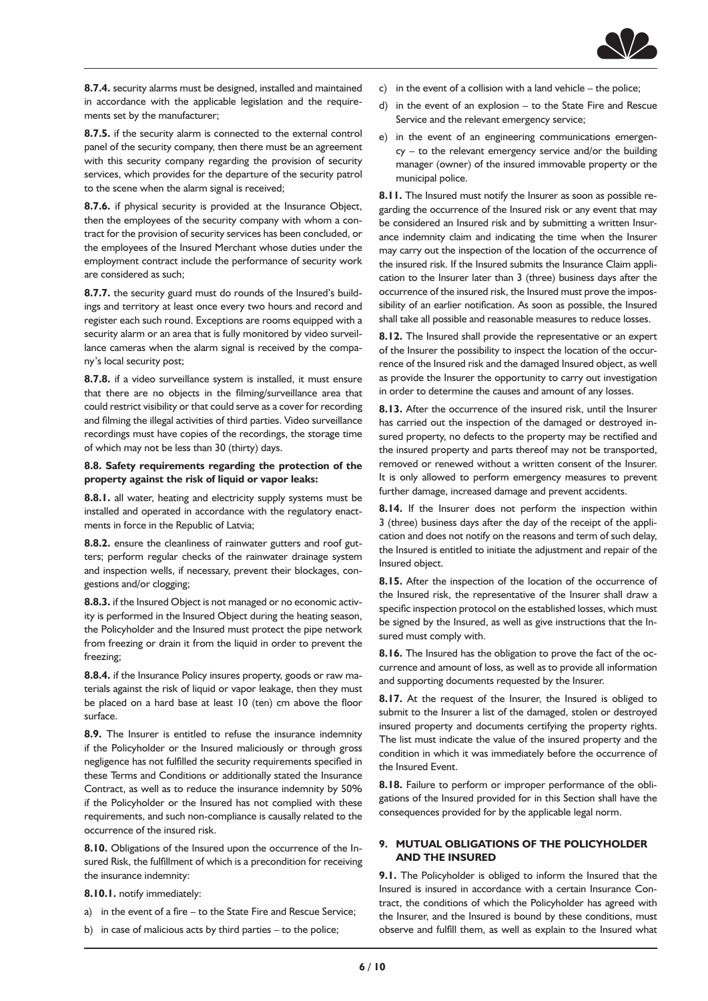

**8.7.4.** security alarms must be designed, installed and maintained in accordance with the applicable legislation and the requirements set by the manufacturer;

**8.7.5.** if the security alarm is connected to the external control panel of the security company, then there must be an agreement with this security company regarding the provision of security services, which provides for the departure of the security patrol to the scene when the alarm signal is received;

**8.7.6.** if physical security is provided at the Insurance Object, then the employees of the security company with whom a contract for the provision of security services has been concluded, or the employees of the Insured Merchant whose duties under the employment contract include the performance of security work are considered as such;

**8.7.7.** the security guard must do rounds of the Insured's buildings and territory at least once every two hours and record and register each such round. Exceptions are rooms equipped with a security alarm or an area that is fully monitored by video surveillance cameras when the alarm signal is received by the company's local security post;

**8.7.8.** if a video surveillance system is installed, it must ensure that there are no objects in the filming/surveillance area that could restrict visibility or that could serve as a cover for recording and filming the illegal activities of third parties. Video surveillance recordings must have copies of the recordings, the storage time of which may not be less than 30 (thirty) days.

#### **8.8. Safety requirements regarding the protection of the property against the risk of liquid or vapor leaks:**

**8.8.1.** all water, heating and electricity supply systems must be installed and operated in accordance with the regulatory enactments in force in the Republic of Latvia;

**8.8.2.** ensure the cleanliness of rainwater gutters and roof gutters; perform regular checks of the rainwater drainage system and inspection wells, if necessary, prevent their blockages, congestions and/or clogging;

**8.8.3.** if the Insured Object is not managed or no economic activity is performed in the Insured Object during the heating season, the Policyholder and the Insured must protect the pipe network from freezing or drain it from the liquid in order to prevent the freezing;

**8.8.4.** if the Insurance Policy insures property, goods or raw materials against the risk of liquid or vapor leakage, then they must be placed on a hard base at least 10 (ten) cm above the floor surface.

**8.9.** The Insurer is entitled to refuse the insurance indemnity if the Policyholder or the Insured maliciously or through gross negligence has not fulfilled the security requirements specified in these Terms and Conditions or additionally stated the Insurance Contract, as well as to reduce the insurance indemnity by 50% if the Policyholder or the Insured has not complied with these requirements, and such non-compliance is causally related to the occurrence of the insured risk.

**8.10.** Obligations of the Insured upon the occurrence of the Insured Risk, the fulfillment of which is a precondition for receiving the insurance indemnity:

#### **8.10.1.** notify immediately:

- a) in the event of a fire to the State Fire and Rescue Service;
- b) in case of malicious acts by third parties to the police;
- c) in the event of a collision with a land vehicle the police;
- d) in the event of an explosion to the State Fire and Rescue Service and the relevant emergency service;
- e) in the event of an engineering communications emergency – to the relevant emergency service and/or the building manager (owner) of the insured immovable property or the municipal police.

**8.11.** The Insured must notify the Insurer as soon as possible regarding the occurrence of the Insured risk or any event that may be considered an Insured risk and by submitting a written Insurance indemnity claim and indicating the time when the Insurer may carry out the inspection of the location of the occurrence of the insured risk. If the Insured submits the Insurance Claim application to the Insurer later than 3 (three) business days after the occurrence of the insured risk, the Insured must prove the impossibility of an earlier notification. As soon as possible, the Insured shall take all possible and reasonable measures to reduce losses.

**8.12.** The Insured shall provide the representative or an expert of the Insurer the possibility to inspect the location of the occurrence of the Insured risk and the damaged Insured object, as well as provide the Insurer the opportunity to carry out investigation in order to determine the causes and amount of any losses.

**8.13.** After the occurrence of the insured risk, until the Insurer has carried out the inspection of the damaged or destroyed insured property, no defects to the property may be rectified and the insured property and parts thereof may not be transported, removed or renewed without a written consent of the Insurer. It is only allowed to perform emergency measures to prevent further damage, increased damage and prevent accidents.

**8.14.** If the Insurer does not perform the inspection within 3 (three) business days after the day of the receipt of the application and does not notify on the reasons and term of such delay, the Insured is entitled to initiate the adjustment and repair of the Insured object.

**8.15.** After the inspection of the location of the occurrence of the Insured risk, the representative of the Insurer shall draw a specific inspection protocol on the established losses, which must be signed by the Insured, as well as give instructions that the Insured must comply with.

**8.16.** The Insured has the obligation to prove the fact of the occurrence and amount of loss, as well as to provide all information and supporting documents requested by the Insurer.

**8.17.** At the request of the Insurer, the Insured is obliged to submit to the Insurer a list of the damaged, stolen or destroyed insured property and documents certifying the property rights. The list must indicate the value of the insured property and the condition in which it was immediately before the occurrence of the Insured Event.

**8.18.** Failure to perform or improper performance of the obligations of the Insured provided for in this Section shall have the consequences provided for by the applicable legal norm.

# **9. MUTUAL OBLIGATIONS OF THE POLICYHOLDER AND THE INSURED**

**9.1.** The Policyholder is obliged to inform the Insured that the Insured is insured in accordance with a certain Insurance Contract, the conditions of which the Policyholder has agreed with the Insurer, and the Insured is bound by these conditions, must observe and fulfill them, as well as explain to the Insured what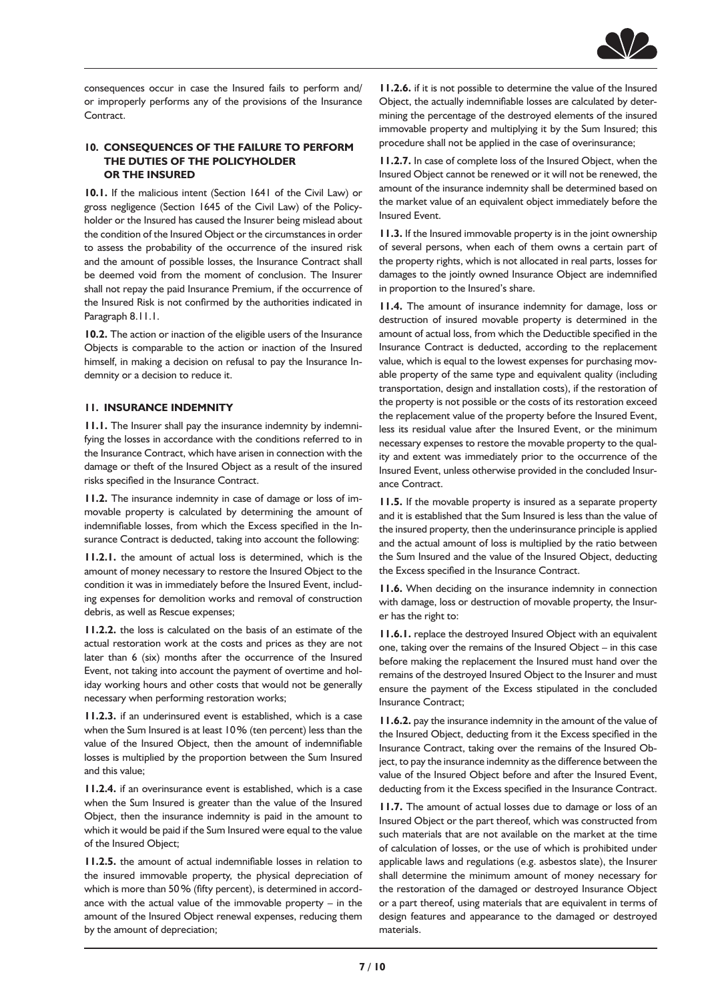

consequences occur in case the Insured fails to perform and/ or improperly performs any of the provisions of the Insurance **Contract.** 

# **10. CONSEQUENCES OF THE FAILURE TO PERFORM THE DUTIES OF THE POLICYHOLDER OR THE INSURED**

**10.1.** If the malicious intent (Section 1641 of the Civil Law) or gross negligence (Section 1645 of the Civil Law) of the Policyholder or the Insured has caused the Insurer being mislead about the condition of the Insured Object or the circumstances in order to assess the probability of the occurrence of the insured risk and the amount of possible losses, the Insurance Contract shall be deemed void from the moment of conclusion. The Insurer shall not repay the paid Insurance Premium, if the occurrence of the Insured Risk is not confirmed by the authorities indicated in Paragraph 8.11.1.

**10.2.** The action or inaction of the eligible users of the Insurance Objects is comparable to the action or inaction of the Insured himself, in making a decision on refusal to pay the Insurance Indemnity or a decision to reduce it.

#### **11. INSURANCE INDEMNITY**

**11.1.** The Insurer shall pay the insurance indemnity by indemnifying the losses in accordance with the conditions referred to in the Insurance Contract, which have arisen in connection with the damage or theft of the Insured Object as a result of the insured risks specified in the Insurance Contract.

**11.2.** The insurance indemnity in case of damage or loss of immovable property is calculated by determining the amount of indemnifiable losses, from which the Excess specified in the Insurance Contract is deducted, taking into account the following:

**11.2.1.** the amount of actual loss is determined, which is the amount of money necessary to restore the Insured Object to the condition it was in immediately before the Insured Event, including expenses for demolition works and removal of construction debris, as well as Rescue expenses;

**11.2.2.** the loss is calculated on the basis of an estimate of the actual restoration work at the costs and prices as they are not later than 6 (six) months after the occurrence of the Insured Event, not taking into account the payment of overtime and holiday working hours and other costs that would not be generally necessary when performing restoration works;

**11.2.3.** if an underinsured event is established, which is a case when the Sum Insured is at least 10% (ten percent) less than the value of the Insured Object, then the amount of indemnifiable losses is multiplied by the proportion between the Sum Insured and this value;

**11.2.4.** if an overinsurance event is established, which is a case when the Sum Insured is greater than the value of the Insured Object, then the insurance indemnity is paid in the amount to which it would be paid if the Sum Insured were equal to the value of the Insured Object;

**11.2.5.** the amount of actual indemnifiable losses in relation to the insured immovable property, the physical depreciation of which is more than 50% (fifty percent), is determined in accordance with the actual value of the immovable property – in the amount of the Insured Object renewal expenses, reducing them by the amount of depreciation;

**11.2.6.** if it is not possible to determine the value of the Insured Object, the actually indemnifiable losses are calculated by determining the percentage of the destroyed elements of the insured immovable property and multiplying it by the Sum Insured; this procedure shall not be applied in the case of overinsurance;

**11.2.7.** In case of complete loss of the Insured Object, when the Insured Object cannot be renewed or it will not be renewed, the amount of the insurance indemnity shall be determined based on the market value of an equivalent object immediately before the Insured Event.

**11.3.** If the Insured immovable property is in the joint ownership of several persons, when each of them owns a certain part of the property rights, which is not allocated in real parts, losses for damages to the jointly owned Insurance Object are indemnified in proportion to the Insured's share.

**11.4.** The amount of insurance indemnity for damage, loss or destruction of insured movable property is determined in the amount of actual loss, from which the Deductible specified in the Insurance Contract is deducted, according to the replacement value, which is equal to the lowest expenses for purchasing movable property of the same type and equivalent quality (including transportation, design and installation costs), if the restoration of the property is not possible or the costs of its restoration exceed the replacement value of the property before the Insured Event, less its residual value after the Insured Event, or the minimum necessary expenses to restore the movable property to the quality and extent was immediately prior to the occurrence of the Insured Event, unless otherwise provided in the concluded Insurance Contract.

**11.5.** If the movable property is insured as a separate property and it is established that the Sum Insured is less than the value of the insured property, then the underinsurance principle is applied and the actual amount of loss is multiplied by the ratio between the Sum Insured and the value of the Insured Object, deducting the Excess specified in the Insurance Contract.

**11.6.** When deciding on the insurance indemnity in connection with damage, loss or destruction of movable property, the Insurer has the right to:

**11.6.1.** replace the destroyed Insured Object with an equivalent one, taking over the remains of the Insured Object – in this case before making the replacement the Insured must hand over the remains of the destroyed Insured Object to the Insurer and must ensure the payment of the Excess stipulated in the concluded Insurance Contract;

**11.6.2.** pay the insurance indemnity in the amount of the value of the Insured Object, deducting from it the Excess specified in the Insurance Contract, taking over the remains of the Insured Object, to pay the insurance indemnity as the difference between the value of the Insured Object before and after the Insured Event, deducting from it the Excess specified in the Insurance Contract.

**11.7.** The amount of actual losses due to damage or loss of an Insured Object or the part thereof, which was constructed from such materials that are not available on the market at the time of calculation of losses, or the use of which is prohibited under applicable laws and regulations (e.g. asbestos slate), the Insurer shall determine the minimum amount of money necessary for the restoration of the damaged or destroyed Insurance Object or a part thereof, using materials that are equivalent in terms of design features and appearance to the damaged or destroyed materials.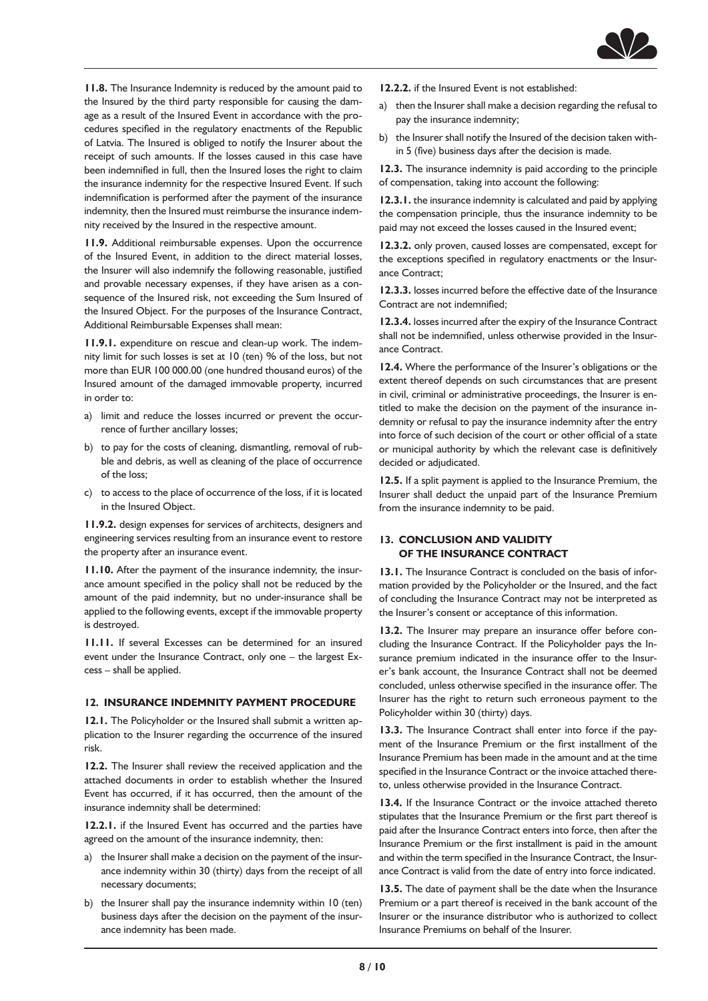

**11.8.** The Insurance Indemnity is reduced by the amount paid to the Insured by the third party responsible for causing the damage as a result of the Insured Event in accordance with the procedures specified in the regulatory enactments of the Republic of Latvia. The Insured is obliged to notify the Insurer about the receipt of such amounts. If the losses caused in this case have been indemnified in full, then the Insured loses the right to claim the insurance indemnity for the respective Insured Event. If such indemnification is performed after the payment of the insurance indemnity, then the Insured must reimburse the insurance indemnity received by the Insured in the respective amount.

**11.9.** Additional reimbursable expenses. Upon the occurrence of the Insured Event, in addition to the direct material losses, the Insurer will also indemnify the following reasonable, justified and provable necessary expenses, if they have arisen as a consequence of the Insured risk, not exceeding the Sum Insured of the Insured Object. For the purposes of the Insurance Contract, Additional Reimbursable Expenses shall mean:

**11.9.1.** expenditure on rescue and clean-up work. The indemnity limit for such losses is set at 10 (ten) % of the loss, but not more than EUR 100 000.00 (one hundred thousand euros) of the Insured amount of the damaged immovable property, incurred in order to:

- a) limit and reduce the losses incurred or prevent the occurrence of further ancillary losses;
- b) to pay for the costs of cleaning, dismantling, removal of rubble and debris, as well as cleaning of the place of occurrence of the loss;
- c) to access to the place of occurrence of the loss, if it is located in the Insured Object.

**11.9.2.** design expenses for services of architects, designers and engineering services resulting from an insurance event to restore the property after an insurance event.

**11.10.** After the payment of the insurance indemnity, the insurance amount specified in the policy shall not be reduced by the amount of the paid indemnity, but no under-insurance shall be applied to the following events, except if the immovable property is destroyed.

**11.11.** If several Excesses can be determined for an insured event under the Insurance Contract, only one – the largest Excess – shall be applied.

#### **12. INSURANCE INDEMNITY PAYMENT PROCEDURE**

**12.1.** The Policyholder or the Insured shall submit a written application to the Insurer regarding the occurrence of the insured risk.

**12.2.** The Insurer shall review the received application and the attached documents in order to establish whether the Insured Event has occurred, if it has occurred, then the amount of the insurance indemnity shall be determined:

**12.2.1.** if the Insured Event has occurred and the parties have agreed on the amount of the insurance indemnity, then:

- a) the Insurer shall make a decision on the payment of the insurance indemnity within 30 (thirty) days from the receipt of all necessary documents;
- b) the Insurer shall pay the insurance indemnity within 10 (ten) business days after the decision on the payment of the insurance indemnity has been made.
- **12.2.2.** if the Insured Event is not established:
- a) then the Insurer shall make a decision regarding the refusal to pay the insurance indemnity;
- b) the Insurer shall notify the Insured of the decision taken within 5 (five) business days after the decision is made.

**12.3.** The insurance indemnity is paid according to the principle of compensation, taking into account the following:

**12.3.1.** the insurance indemnity is calculated and paid by applying the compensation principle, thus the insurance indemnity to be paid may not exceed the losses caused in the Insured event;

**12.3.2.** only proven, caused losses are compensated, except for the exceptions specified in regulatory enactments or the Insurance Contract;

**12.3.3.** losses incurred before the effective date of the Insurance Contract are not indemnified;

**12.3.4.** losses incurred after the expiry of the Insurance Contract shall not be indemnified, unless otherwise provided in the Insurance Contract.

**12.4.** Where the performance of the Insurer's obligations or the extent thereof depends on such circumstances that are present in civil, criminal or administrative proceedings, the Insurer is entitled to make the decision on the payment of the insurance indemnity or refusal to pay the insurance indemnity after the entry into force of such decision of the court or other official of a state or municipal authority by which the relevant case is definitively decided or adjudicated.

**12.5.** If a split payment is applied to the Insurance Premium, the Insurer shall deduct the unpaid part of the Insurance Premium from the insurance indemnity to be paid.

# **13. CONCLUSION AND VALIDITY OF THE INSURANCE CONTRACT**

**13.1.** The Insurance Contract is concluded on the basis of information provided by the Policyholder or the Insured, and the fact of concluding the Insurance Contract may not be interpreted as the Insurer's consent or acceptance of this information.

13.2. The Insurer may prepare an insurance offer before concluding the Insurance Contract. If the Policyholder pays the Insurance premium indicated in the insurance offer to the Insurer's bank account, the Insurance Contract shall not be deemed concluded, unless otherwise specified in the insurance offer. The Insurer has the right to return such erroneous payment to the Policyholder within 30 (thirty) days.

**13.3.** The Insurance Contract shall enter into force if the payment of the Insurance Premium or the first installment of the Insurance Premium has been made in the amount and at the time specified in the Insurance Contract or the invoice attached thereto, unless otherwise provided in the Insurance Contract.

**13.4.** If the Insurance Contract or the invoice attached thereto stipulates that the Insurance Premium or the first part thereof is paid after the Insurance Contract enters into force, then after the Insurance Premium or the first installment is paid in the amount and within the term specified in the Insurance Contract, the Insurance Contract is valid from the date of entry into force indicated.

**13.5.** The date of payment shall be the date when the Insurance Premium or a part thereof is received in the bank account of the Insurer or the insurance distributor who is authorized to collect Insurance Premiums on behalf of the Insurer.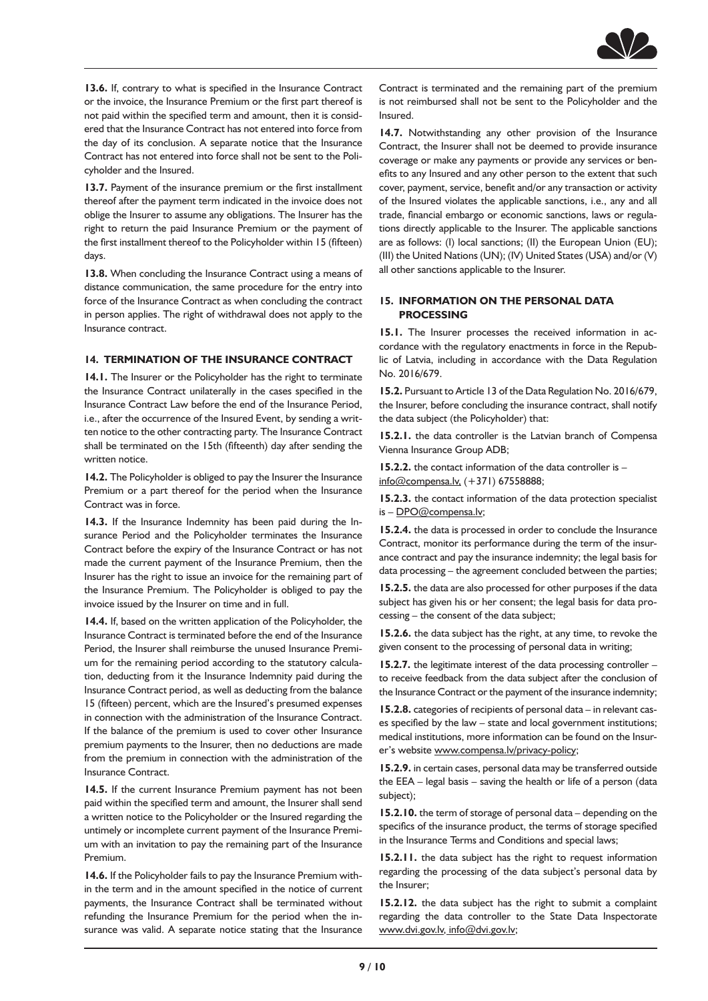

**13.6.** If, contrary to what is specified in the Insurance Contract or the invoice, the Insurance Premium or the first part thereof is not paid within the specified term and amount, then it is considered that the Insurance Contract has not entered into force from the day of its conclusion. A separate notice that the Insurance Contract has not entered into force shall not be sent to the Policyholder and the Insured.

**13.7.** Payment of the insurance premium or the first installment thereof after the payment term indicated in the invoice does not oblige the Insurer to assume any obligations. The Insurer has the right to return the paid Insurance Premium or the payment of the first installment thereof to the Policyholder within 15 (fifteen) days.

**13.8.** When concluding the Insurance Contract using a means of distance communication, the same procedure for the entry into force of the Insurance Contract as when concluding the contract in person applies. The right of withdrawal does not apply to the Insurance contract.

# **14. TERMINATION OF THE INSURANCE CONTRACT**

**14.1.** The Insurer or the Policyholder has the right to terminate the Insurance Contract unilaterally in the cases specified in the Insurance Contract Law before the end of the Insurance Period, i.e., after the occurrence of the Insured Event, by sending a written notice to the other contracting party. The Insurance Contract shall be terminated on the 15th (fifteenth) day after sending the written notice.

14.2. The Policyholder is obliged to pay the Insurer the Insurance Premium or a part thereof for the period when the Insurance Contract was in force.

**14.3.** If the Insurance Indemnity has been paid during the Insurance Period and the Policyholder terminates the Insurance Contract before the expiry of the Insurance Contract or has not made the current payment of the Insurance Premium, then the Insurer has the right to issue an invoice for the remaining part of the Insurance Premium. The Policyholder is obliged to pay the invoice issued by the Insurer on time and in full.

**14.4.** If, based on the written application of the Policyholder, the Insurance Contract is terminated before the end of the Insurance Period, the Insurer shall reimburse the unused Insurance Premium for the remaining period according to the statutory calculation, deducting from it the Insurance Indemnity paid during the Insurance Contract period, as well as deducting from the balance 15 (fifteen) percent, which are the Insured's presumed expenses in connection with the administration of the Insurance Contract. If the balance of the premium is used to cover other Insurance premium payments to the Insurer, then no deductions are made from the premium in connection with the administration of the Insurance Contract.

**14.5.** If the current Insurance Premium payment has not been paid within the specified term and amount, the Insurer shall send a written notice to the Policyholder or the Insured regarding the untimely or incomplete current payment of the Insurance Premium with an invitation to pay the remaining part of the Insurance Premium.

**14.6.** If the Policyholder fails to pay the Insurance Premium within the term and in the amount specified in the notice of current payments, the Insurance Contract shall be terminated without refunding the Insurance Premium for the period when the insurance was valid. A separate notice stating that the Insurance Contract is terminated and the remaining part of the premium is not reimbursed shall not be sent to the Policyholder and the Insured.

**14.7.** Notwithstanding any other provision of the Insurance Contract, the Insurer shall not be deemed to provide insurance coverage or make any payments or provide any services or benefits to any Insured and any other person to the extent that such cover, payment, service, benefit and/or any transaction or activity of the Insured violates the applicable sanctions, i.e., any and all trade, financial embargo or economic sanctions, laws or regulations directly applicable to the Insurer. The applicable sanctions are as follows: (I) local sanctions; (II) the European Union (EU); (III) the United Nations (UN); (IV) United States (USA) and/or (V) all other sanctions applicable to the Insurer.

#### **15. INFORMATION ON THE PERSONAL DATA PROCESSING**

**15.1.** The Insurer processes the received information in accordance with the regulatory enactments in force in the Republic of Latvia, including in accordance with the Data Regulation No. 2016/679.

**15.2.** Pursuant to Article 13 of the Data Regulation No. 2016/679, the Insurer, before concluding the insurance contract, shall notify the data subject (the Policyholder) that:

**15.2.1.** the data controller is the Latvian branch of Compensa Vienna Insurance Group ADB;

**15.2.2.** the contact information of the data controller is – [info@compensa.lv,](mailto:info@compensa.lv,) (+371) 67558888;

**15.2.3.** the contact information of the data protection specialist is - [DPO@compensa.lv;](mailto:DPO@compensa.lv)

**15.2.4.** the data is processed in order to conclude the Insurance Contract, monitor its performance during the term of the insurance contract and pay the insurance indemnity; the legal basis for data processing – the agreement concluded between the parties;

**15.2.5.** the data are also processed for other purposes if the data subject has given his or her consent; the legal basis for data processing – the consent of the data subject;

**15.2.6.** the data subject has the right, at any time, to revoke the given consent to the processing of personal data in writing;

**15.2.7.** the legitimate interest of the data processing controller – to receive feedback from the data subject after the conclusion of the Insurance Contract or the payment of the insurance indemnity;

**15.2.8.** categories of recipients of personal data – in relevant cases specified by the law – state and local government institutions; medical institutions, more information can be found on the Insurer's website [www.compensa.lv/privacy-policy;](https://www.compensa.lv/privacy-policy/)

**15.2.9.** in certain cases, personal data may be transferred outside the EEA – legal basis – saving the health or life of a person (data subject);

**15.2.10.** the term of storage of personal data – depending on the specifics of the insurance product, the terms of storage specified in the Insurance Terms and Conditions and special laws;

**15.2.11.** the data subject has the right to request information regarding the processing of the data subject's personal data by the Insurer;

**15.2.12.** the data subject has the right to submit a complaint regarding the data controller to the State Data Inspectorate [www.dvi.gov.lv](https://www.dvi.gov.lv/), [info@dvi.gov.lv](mailto:info@dvi.gov.lv);